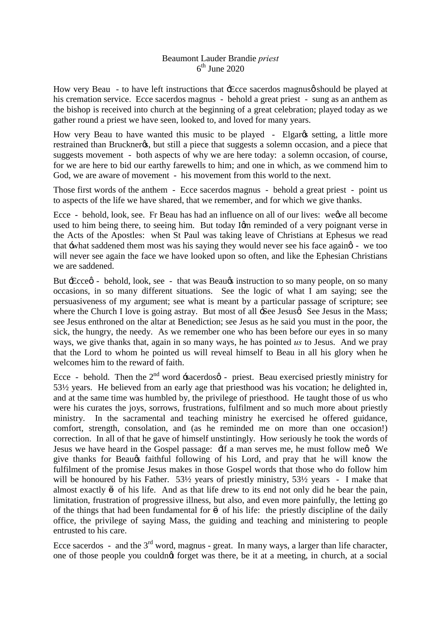## Beaumont Lauder Brandie *priest*  $6<sup>th</sup>$  June 2020

How very Beau - to have left instructions that  $\pm$  Ecce sacerdos magnus  $\phi$  should be played at his cremation service. Ecce sacerdos magnus - behold a great priest - sung as an anthem as the bishop is received into church at the beginning of a great celebration; played today as we gather round a priest we have seen, looked to, and loved for many years.

How very Beau to have wanted this music to be played - Elgaros setting, a little more restrained than Bruckner $\alpha$ , but still a piece that suggests a solemn occasion, and a piece that suggests movement - both aspects of why we are here today: a solemn occasion, of course, for we are here to bid our earthy farewells to him; and one in which, as we commend him to God, we are aware of movement - his movement from this world to the next.

Those first words of the anthem - Ecce sacerdos magnus - behold a great priest - point us to aspects of the life we have shared, that we remember, and for which we give thanks.

Ecce - behold, look, see. Fr Beau has had an influence on all of our lives: we we all become used to him being there, to seeing him. But today Igm reminded of a very poignant verse in the Acts of the Apostles: when St Paul was taking leave of Christians at Ephesus we read that -what saddened them most was his saying they would never see his face againg - we too will never see again the face we have looked upon so often, and like the Ephesian Christians we are saddened.

But  $\pm$ cce $\emptyset$  - behold, look, see - that was Beau $\emptyset$  instruction to so many people, on so many occasions, in so many different situations. See the logic of what I am saying; see the persuasiveness of my argument; see what is meant by a particular passage of scripture; see where the Church I love is going astray. But most of all  $\exists$ see Jesus  $\alpha$ . See Jesus in the Mass; see Jesus enthroned on the altar at Benediction; see Jesus as he said you must in the poor, the sick, the hungry, the needy. As we remember one who has been before our eyes in so many ways, we give thanks that, again in so many ways, he has pointed *us* to Jesus. And we pray that the Lord to whom he pointed us will reveal himself to Beau in all his glory when he welcomes him to the reward of faith.

Ecce - behold. Then the  $2^{nd}$  word  $\pm$ sacerdosø - priest. Beau exercised priestly ministry for 53½ years. He believed from an early age that priesthood was his vocation; he delighted in, and at the same time was humbled by, the privilege of priesthood. He taught those of us who were his curates the joys, sorrows, frustrations, fulfilment and so much more about priestly ministry. In the sacramental and teaching ministry he exercised he offered guidance, comfort, strength, consolation, and (as he reminded me on more than one occasion!) correction. In all of that he gave of himself unstintingly. How seriously he took the words of Jesus we have heard in the Gospel passage:  $\exists f$  a man serves me, he must follow meg. We give thanks for Beau's faithful following of his Lord, and pray that he will know the fulfilment of the promise Jesus makes in those Gospel words that those who do follow him will be honoured by his Father. 53<sup>1/2</sup> years of priestly ministry, 53<sup>1</sup>/<sub>2</sub> years - I make that almost exactly of his life. And as that life drew to its end not only did he bear the pain, limitation, frustration of progressive illness, but also, and even more painfully, the letting go of the things that had been fundamental for of his life: the priestly discipline of the daily office, the privilege of saying Mass, the guiding and teaching and ministering to people entrusted to his care.

Ecce sacerdos - and the  $3<sup>rd</sup>$  word, magnus - great. In many ways, a larger than life character, one of those people you couldnot forget was there, be it at a meeting, in church, at a social